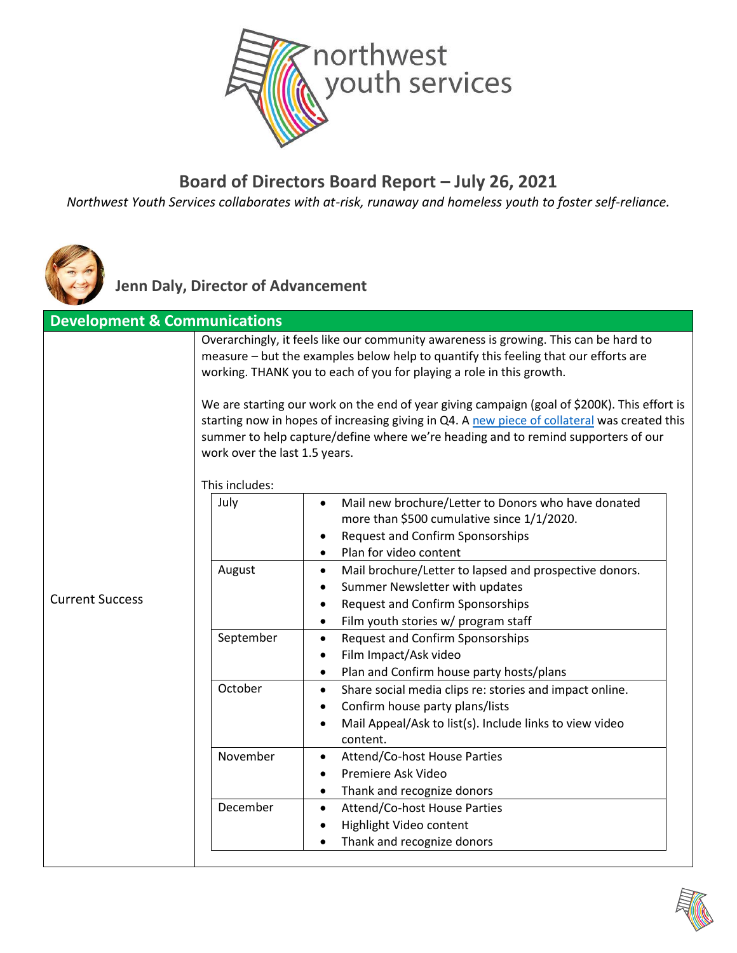

#### **Board of Directors Board Report – July 26, 2021**

*Northwest Youth Services collaborates with at-risk, runaway and homeless youth to foster self-reliance.*



**Jenn Daly, Director of Advancement**

| <b>Development &amp; Communications</b> |                               |                                                                                                                                                                                                                                                                                   |
|-----------------------------------------|-------------------------------|-----------------------------------------------------------------------------------------------------------------------------------------------------------------------------------------------------------------------------------------------------------------------------------|
|                                         |                               | Overarchingly, it feels like our community awareness is growing. This can be hard to<br>measure - but the examples below help to quantify this feeling that our efforts are<br>working. THANK you to each of you for playing a role in this growth.                               |
|                                         | work over the last 1.5 years. | We are starting our work on the end of year giving campaign (goal of \$200K). This effort is<br>starting now in hopes of increasing giving in Q4. A new piece of collateral was created this<br>summer to help capture/define where we're heading and to remind supporters of our |
|                                         | This includes:                |                                                                                                                                                                                                                                                                                   |
|                                         | July                          | Mail new brochure/Letter to Donors who have donated<br>$\bullet$<br>more than \$500 cumulative since 1/1/2020.<br><b>Request and Confirm Sponsorships</b><br>٠<br>Plan for video content                                                                                          |
| <b>Current Success</b>                  | August                        | Mail brochure/Letter to lapsed and prospective donors.<br>$\bullet$<br>Summer Newsletter with updates<br>٠<br><b>Request and Confirm Sponsorships</b><br>$\bullet$<br>Film youth stories w/ program staff<br>$\bullet$                                                            |
|                                         | September                     | <b>Request and Confirm Sponsorships</b><br>$\bullet$<br>Film Impact/Ask video<br>٠<br>Plan and Confirm house party hosts/plans<br>$\bullet$                                                                                                                                       |
|                                         | October                       | Share social media clips re: stories and impact online.<br>$\bullet$<br>Confirm house party plans/lists<br>٠<br>Mail Appeal/Ask to list(s). Include links to view video<br>٠<br>content.                                                                                          |
|                                         | November                      | Attend/Co-host House Parties<br>٠<br>Premiere Ask Video<br>$\bullet$<br>Thank and recognize donors<br>٠                                                                                                                                                                           |
|                                         | December                      | Attend/Co-host House Parties<br>$\bullet$<br>Highlight Video content<br>٠<br>Thank and recognize donors<br>$\bullet$                                                                                                                                                              |

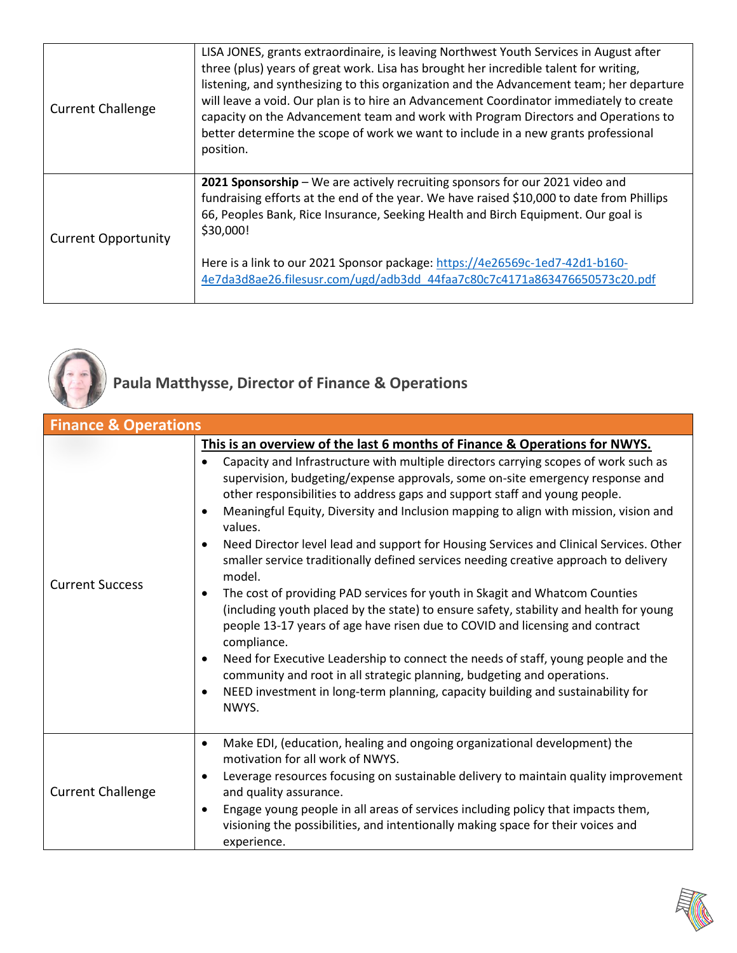| <b>Current Challenge</b>   | LISA JONES, grants extraordinaire, is leaving Northwest Youth Services in August after<br>three (plus) years of great work. Lisa has brought her incredible talent for writing,<br>listening, and synthesizing to this organization and the Advancement team; her departure<br>will leave a void. Our plan is to hire an Advancement Coordinator immediately to create<br>capacity on the Advancement team and work with Program Directors and Operations to<br>better determine the scope of work we want to include in a new grants professional<br>position. |
|----------------------------|-----------------------------------------------------------------------------------------------------------------------------------------------------------------------------------------------------------------------------------------------------------------------------------------------------------------------------------------------------------------------------------------------------------------------------------------------------------------------------------------------------------------------------------------------------------------|
| <b>Current Opportunity</b> | 2021 Sponsorship - We are actively recruiting sponsors for our 2021 video and<br>fundraising efforts at the end of the year. We have raised \$10,000 to date from Phillips<br>66, Peoples Bank, Rice Insurance, Seeking Health and Birch Equipment. Our goal is<br>\$30,000!<br>Here is a link to our 2021 Sponsor package: https://4e26569c-1ed7-42d1-b160-<br>4e7da3d8ae26.filesusr.com/ugd/adb3dd 44faa7c80c7c4171a863476650573c20.pdf                                                                                                                       |



## **Paula Matthysse, Director of Finance & Operations**

| <b>Finance &amp; Operations</b> |                                                                                                                                                                                                                                                                                                                                                                                                                                                                                                                                                                                                                                                                                                                                                                                                                                                                                                                                                                                                                                                                                                                              |  |
|---------------------------------|------------------------------------------------------------------------------------------------------------------------------------------------------------------------------------------------------------------------------------------------------------------------------------------------------------------------------------------------------------------------------------------------------------------------------------------------------------------------------------------------------------------------------------------------------------------------------------------------------------------------------------------------------------------------------------------------------------------------------------------------------------------------------------------------------------------------------------------------------------------------------------------------------------------------------------------------------------------------------------------------------------------------------------------------------------------------------------------------------------------------------|--|
|                                 | This is an overview of the last 6 months of Finance & Operations for NWYS.                                                                                                                                                                                                                                                                                                                                                                                                                                                                                                                                                                                                                                                                                                                                                                                                                                                                                                                                                                                                                                                   |  |
| <b>Current Success</b>          | Capacity and Infrastructure with multiple directors carrying scopes of work such as<br>supervision, budgeting/expense approvals, some on-site emergency response and<br>other responsibilities to address gaps and support staff and young people.<br>Meaningful Equity, Diversity and Inclusion mapping to align with mission, vision and<br>values.<br>Need Director level lead and support for Housing Services and Clinical Services. Other<br>smaller service traditionally defined services needing creative approach to delivery<br>model.<br>The cost of providing PAD services for youth in Skagit and Whatcom Counties<br>$\bullet$<br>(including youth placed by the state) to ensure safety, stability and health for young<br>people 13-17 years of age have risen due to COVID and licensing and contract<br>compliance.<br>Need for Executive Leadership to connect the needs of staff, young people and the<br>$\bullet$<br>community and root in all strategic planning, budgeting and operations.<br>NEED investment in long-term planning, capacity building and sustainability for<br>$\bullet$<br>NWYS. |  |
| <b>Current Challenge</b>        | Make EDI, (education, healing and ongoing organizational development) the<br>$\bullet$<br>motivation for all work of NWYS.<br>Leverage resources focusing on sustainable delivery to maintain quality improvement<br>$\bullet$<br>and quality assurance.                                                                                                                                                                                                                                                                                                                                                                                                                                                                                                                                                                                                                                                                                                                                                                                                                                                                     |  |
|                                 | Engage young people in all areas of services including policy that impacts them,<br>$\bullet$<br>visioning the possibilities, and intentionally making space for their voices and<br>experience.                                                                                                                                                                                                                                                                                                                                                                                                                                                                                                                                                                                                                                                                                                                                                                                                                                                                                                                             |  |

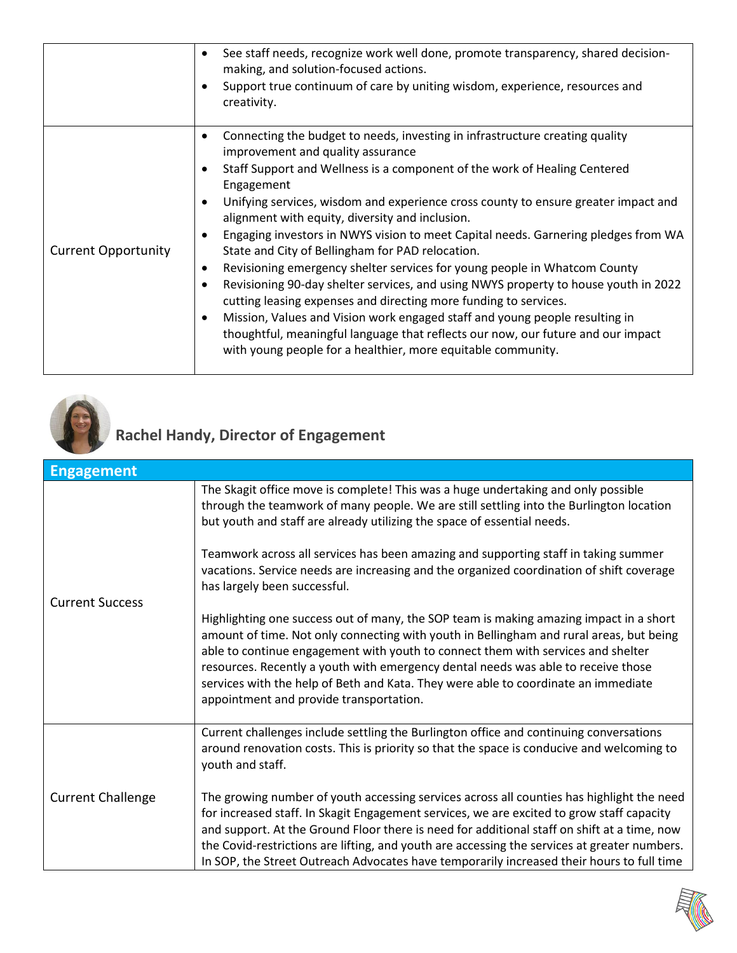|                            | See staff needs, recognize work well done, promote transparency, shared decision-<br>$\bullet$<br>making, and solution-focused actions.<br>Support true continuum of care by uniting wisdom, experience, resources and<br>$\bullet$<br>creativity.                                                                                                                                                                                                                                                                                                                                                                                                                                                                                                                                                                                                                                                                                                                                                                                       |
|----------------------------|------------------------------------------------------------------------------------------------------------------------------------------------------------------------------------------------------------------------------------------------------------------------------------------------------------------------------------------------------------------------------------------------------------------------------------------------------------------------------------------------------------------------------------------------------------------------------------------------------------------------------------------------------------------------------------------------------------------------------------------------------------------------------------------------------------------------------------------------------------------------------------------------------------------------------------------------------------------------------------------------------------------------------------------|
| <b>Current Opportunity</b> | Connecting the budget to needs, investing in infrastructure creating quality<br>$\bullet$<br>improvement and quality assurance<br>Staff Support and Wellness is a component of the work of Healing Centered<br>٠<br>Engagement<br>Unifying services, wisdom and experience cross county to ensure greater impact and<br>$\bullet$<br>alignment with equity, diversity and inclusion.<br>Engaging investors in NWYS vision to meet Capital needs. Garnering pledges from WA<br>٠<br>State and City of Bellingham for PAD relocation.<br>Revisioning emergency shelter services for young people in Whatcom County<br>$\bullet$<br>Revisioning 90-day shelter services, and using NWYS property to house youth in 2022<br>$\bullet$<br>cutting leasing expenses and directing more funding to services.<br>Mission, Values and Vision work engaged staff and young people resulting in<br>thoughtful, meaningful language that reflects our now, our future and our impact<br>with young people for a healthier, more equitable community. |



# **Rachel Handy, Director of Engagement**

| <b>Engagement</b>        |                                                                                                                                                                                                                                                                                                                                                                                                                                                                                             |
|--------------------------|---------------------------------------------------------------------------------------------------------------------------------------------------------------------------------------------------------------------------------------------------------------------------------------------------------------------------------------------------------------------------------------------------------------------------------------------------------------------------------------------|
| <b>Current Success</b>   | The Skagit office move is complete! This was a huge undertaking and only possible<br>through the teamwork of many people. We are still settling into the Burlington location<br>but youth and staff are already utilizing the space of essential needs.                                                                                                                                                                                                                                     |
|                          | Teamwork across all services has been amazing and supporting staff in taking summer<br>vacations. Service needs are increasing and the organized coordination of shift coverage<br>has largely been successful.                                                                                                                                                                                                                                                                             |
|                          | Highlighting one success out of many, the SOP team is making amazing impact in a short<br>amount of time. Not only connecting with youth in Bellingham and rural areas, but being<br>able to continue engagement with youth to connect them with services and shelter<br>resources. Recently a youth with emergency dental needs was able to receive those<br>services with the help of Beth and Kata. They were able to coordinate an immediate<br>appointment and provide transportation. |
| <b>Current Challenge</b> | Current challenges include settling the Burlington office and continuing conversations<br>around renovation costs. This is priority so that the space is conducive and welcoming to<br>youth and staff.                                                                                                                                                                                                                                                                                     |
|                          | The growing number of youth accessing services across all counties has highlight the need<br>for increased staff. In Skagit Engagement services, we are excited to grow staff capacity<br>and support. At the Ground Floor there is need for additional staff on shift at a time, now<br>the Covid-restrictions are lifting, and youth are accessing the services at greater numbers.<br>In SOP, the Street Outreach Advocates have temporarily increased their hours to full time          |

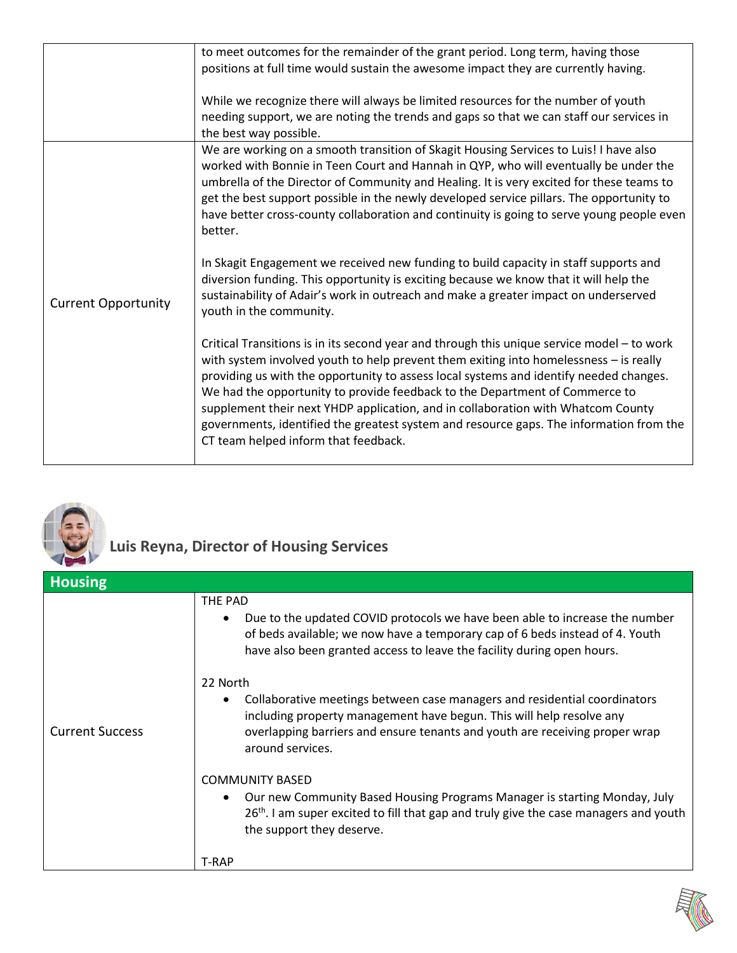|                            | to meet outcomes for the remainder of the grant period. Long term, having those                                                                                                                                                                                                                                                                                                                                                                                                                                                                                                     |
|----------------------------|-------------------------------------------------------------------------------------------------------------------------------------------------------------------------------------------------------------------------------------------------------------------------------------------------------------------------------------------------------------------------------------------------------------------------------------------------------------------------------------------------------------------------------------------------------------------------------------|
|                            | positions at full time would sustain the awesome impact they are currently having.                                                                                                                                                                                                                                                                                                                                                                                                                                                                                                  |
|                            |                                                                                                                                                                                                                                                                                                                                                                                                                                                                                                                                                                                     |
|                            | While we recognize there will always be limited resources for the number of youth<br>needing support, we are noting the trends and gaps so that we can staff our services in<br>the best way possible.                                                                                                                                                                                                                                                                                                                                                                              |
|                            | We are working on a smooth transition of Skagit Housing Services to Luis! I have also                                                                                                                                                                                                                                                                                                                                                                                                                                                                                               |
| <b>Current Opportunity</b> | worked with Bonnie in Teen Court and Hannah in QYP, who will eventually be under the<br>umbrella of the Director of Community and Healing. It is very excited for these teams to<br>get the best support possible in the newly developed service pillars. The opportunity to<br>have better cross-county collaboration and continuity is going to serve young people even<br>better.                                                                                                                                                                                                |
|                            | In Skagit Engagement we received new funding to build capacity in staff supports and<br>diversion funding. This opportunity is exciting because we know that it will help the<br>sustainability of Adair's work in outreach and make a greater impact on underserved<br>youth in the community.                                                                                                                                                                                                                                                                                     |
|                            | Critical Transitions is in its second year and through this unique service model - to work<br>with system involved youth to help prevent them exiting into homelessness - is really<br>providing us with the opportunity to assess local systems and identify needed changes.<br>We had the opportunity to provide feedback to the Department of Commerce to<br>supplement their next YHDP application, and in collaboration with Whatcom County<br>governments, identified the greatest system and resource gaps. The information from the<br>CT team helped inform that feedback. |



### **Luis Reyna, Director of Housing Services**

| <b>Housing</b>         |                                                                                                                                                                                                                                                                  |
|------------------------|------------------------------------------------------------------------------------------------------------------------------------------------------------------------------------------------------------------------------------------------------------------|
|                        | THE PAD<br>Due to the updated COVID protocols we have been able to increase the number<br>of beds available; we now have a temporary cap of 6 beds instead of 4. Youth<br>have also been granted access to leave the facility during open hours.                 |
| <b>Current Success</b> | 22 North<br>Collaborative meetings between case managers and residential coordinators<br>including property management have begun. This will help resolve any<br>overlapping barriers and ensure tenants and youth are receiving proper wrap<br>around services. |
|                        | <b>COMMUNITY BASED</b><br>Our new Community Based Housing Programs Manager is starting Monday, July<br>26 <sup>th</sup> . I am super excited to fill that gap and truly give the case managers and youth<br>the support they deserve.                            |
|                        | <b>T-RAP</b>                                                                                                                                                                                                                                                     |

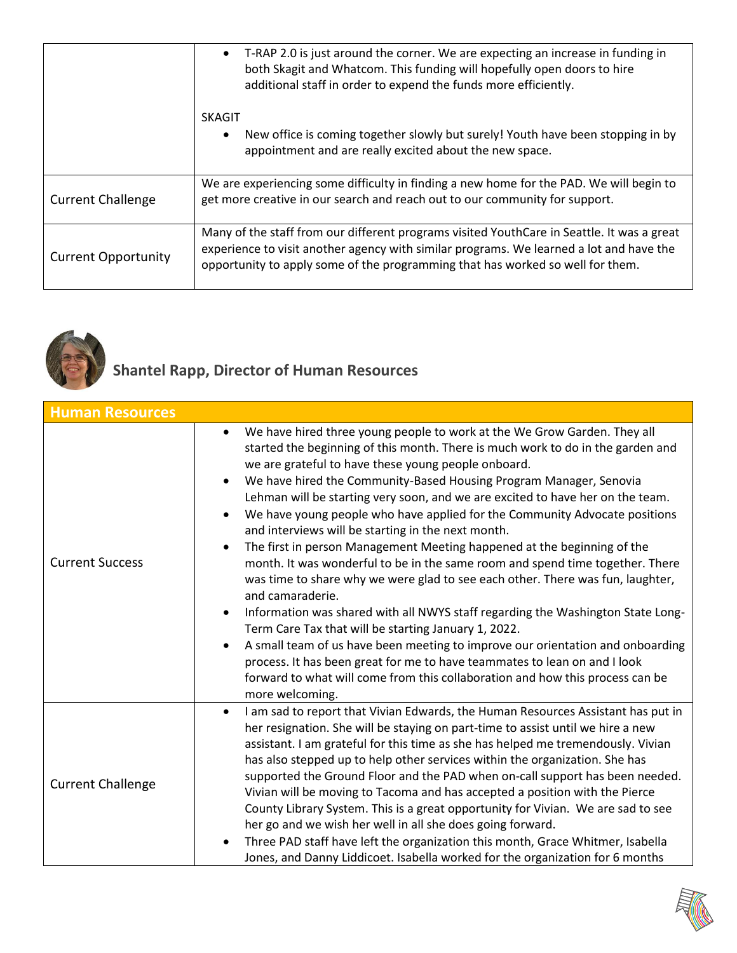|                            | T-RAP 2.0 is just around the corner. We are expecting an increase in funding in<br>$\bullet$<br>both Skagit and Whatcom. This funding will hopefully open doors to hire<br>additional staff in order to expend the funds more efficiently.                              |
|----------------------------|-------------------------------------------------------------------------------------------------------------------------------------------------------------------------------------------------------------------------------------------------------------------------|
|                            | <b>SKAGIT</b><br>New office is coming together slowly but surely! Youth have been stopping in by<br>٠<br>appointment and are really excited about the new space.                                                                                                        |
| <b>Current Challenge</b>   | We are experiencing some difficulty in finding a new home for the PAD. We will begin to<br>get more creative in our search and reach out to our community for support.                                                                                                  |
| <b>Current Opportunity</b> | Many of the staff from our different programs visited YouthCare in Seattle. It was a great<br>experience to visit another agency with similar programs. We learned a lot and have the<br>opportunity to apply some of the programming that has worked so well for them. |



#### **Shantel Rapp, Director of Human Resources**

| <b>Human Resources</b>   |                                                                                                                                                                                                                                                                                                                                                                                                                                                                                                                                                                                                                                                                                                                                                                                                                                                                                                                                                                                                                                                                                                                                                                                                             |
|--------------------------|-------------------------------------------------------------------------------------------------------------------------------------------------------------------------------------------------------------------------------------------------------------------------------------------------------------------------------------------------------------------------------------------------------------------------------------------------------------------------------------------------------------------------------------------------------------------------------------------------------------------------------------------------------------------------------------------------------------------------------------------------------------------------------------------------------------------------------------------------------------------------------------------------------------------------------------------------------------------------------------------------------------------------------------------------------------------------------------------------------------------------------------------------------------------------------------------------------------|
| <b>Current Success</b>   | We have hired three young people to work at the We Grow Garden. They all<br>$\bullet$<br>started the beginning of this month. There is much work to do in the garden and<br>we are grateful to have these young people onboard.<br>We have hired the Community-Based Housing Program Manager, Senovia<br>Lehman will be starting very soon, and we are excited to have her on the team.<br>We have young people who have applied for the Community Advocate positions<br>and interviews will be starting in the next month.<br>The first in person Management Meeting happened at the beginning of the<br>month. It was wonderful to be in the same room and spend time together. There<br>was time to share why we were glad to see each other. There was fun, laughter,<br>and camaraderie.<br>Information was shared with all NWYS staff regarding the Washington State Long-<br>Term Care Tax that will be starting January 1, 2022.<br>A small team of us have been meeting to improve our orientation and onboarding<br>process. It has been great for me to have teammates to lean on and I look<br>forward to what will come from this collaboration and how this process can be<br>more welcoming. |
| <b>Current Challenge</b> | I am sad to report that Vivian Edwards, the Human Resources Assistant has put in<br>$\bullet$<br>her resignation. She will be staying on part-time to assist until we hire a new<br>assistant. I am grateful for this time as she has helped me tremendously. Vivian<br>has also stepped up to help other services within the organization. She has<br>supported the Ground Floor and the PAD when on-call support has been needed.<br>Vivian will be moving to Tacoma and has accepted a position with the Pierce<br>County Library System. This is a great opportunity for Vivian. We are sad to see<br>her go and we wish her well in all she does going forward.<br>Three PAD staff have left the organization this month, Grace Whitmer, Isabella<br>Jones, and Danny Liddicoet. Isabella worked for the organization for 6 months                                                                                                                                                                                                                                                                                                                                                                     |